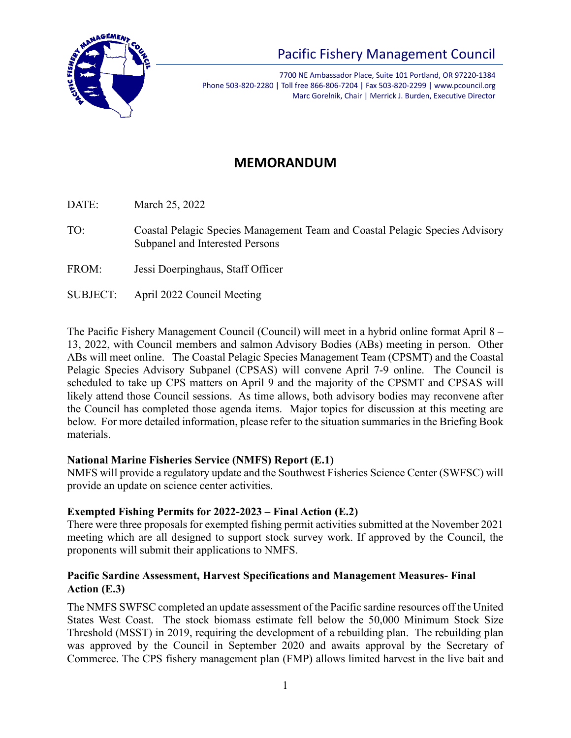

7700 NE Ambassador Place, Suite 101 Portland, OR 97220-1384 Phone 503-820-2280 | Toll free 866-806-7204 | Fax 503-820-2299 | www.pcouncil.org Marc Gorelnik, Chair | Merrick J. Burden, Executive Director

## **MEMORANDUM**

DATE: March 25, 2022

- TO: Coastal Pelagic Species Management Team and Coastal Pelagic Species Advisory Subpanel and Interested Persons
- FROM: Jessi Doerpinghaus, Staff Officer
- SUBJECT: April 2022 Council Meeting

The Pacific Fishery Management Council (Council) will meet in a hybrid online format April 8 – 13, 2022, with Council members and salmon Advisory Bodies (ABs) meeting in person. Other ABs will meet online. The Coastal Pelagic Species Management Team (CPSMT) and the Coastal Pelagic Species Advisory Subpanel (CPSAS) will convene April 7-9 online. The Council is scheduled to take up CPS matters on April 9 and the majority of the CPSMT and CPSAS will likely attend those Council sessions. As time allows, both advisory bodies may reconvene after the Council has completed those agenda items. Major topics for discussion at this meeting are below. For more detailed information, please refer to the situation summaries in the Briefing Book materials.

## **National Marine Fisheries Service (NMFS) Report (E.1)**

NMFS will provide a regulatory update and the Southwest Fisheries Science Center (SWFSC) will provide an update on science center activities.

## **Exempted Fishing Permits for 2022-2023 – Final Action (E.2)**

There were three proposals for exempted fishing permit activities submitted at the November 2021 meeting which are all designed to support stock survey work. If approved by the Council, the proponents will submit their applications to NMFS.

## **Pacific Sardine Assessment, Harvest Specifications and Management Measures- Final Action (E.3)**

The NMFS SWFSC completed an update assessment of the Pacific sardine resources off the United States West Coast. The stock biomass estimate fell below the 50,000 Minimum Stock Size Threshold (MSST) in 2019, requiring the development of a rebuilding plan. The rebuilding plan was approved by the Council in September 2020 and awaits approval by the Secretary of Commerce. The CPS fishery management plan (FMP) allows limited harvest in the live bait and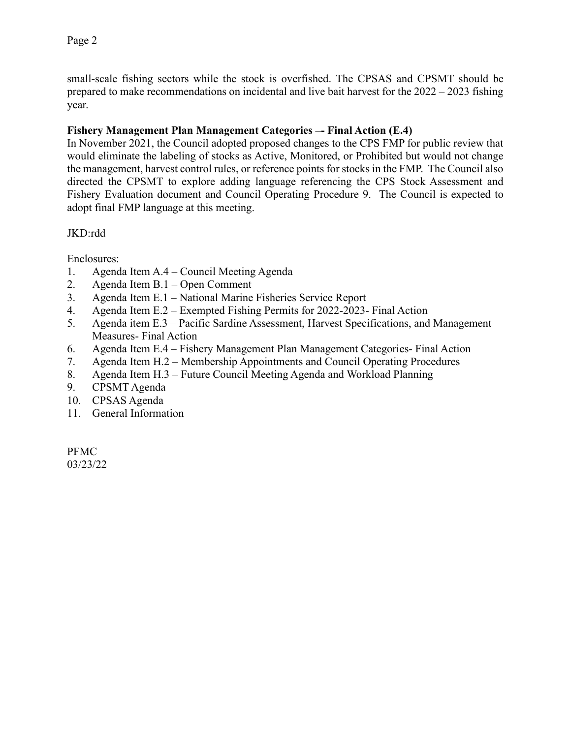small-scale fishing sectors while the stock is overfished. The CPSAS and CPSMT should be prepared to make recommendations on incidental and live bait harvest for the 2022 – 2023 fishing year.

## **Fishery Management Plan Management Categories –- Final Action (E.4)**

In November 2021, the Council adopted proposed changes to the CPS FMP for public review that would eliminate the labeling of stocks as Active, Monitored, or Prohibited but would not change the management, harvest control rules, or reference points for stocks in the FMP. The Council also directed the CPSMT to explore adding language referencing the CPS Stock Assessment and Fishery Evaluation document and Council Operating Procedure 9. The Council is expected to adopt final FMP language at this meeting.

## JKD:rdd

Enclosures:

- 1. Agenda Item A.4 Council Meeting Agenda
- 2. Agenda Item B.1 Open Comment
- 3. Agenda Item E.1 National Marine Fisheries Service Report
- 4. Agenda Item E.2 Exempted Fishing Permits for 2022-2023- Final Action
- 5. Agenda item E.3 Pacific Sardine Assessment, Harvest Specifications, and Management Measures- Final Action
- 6. Agenda Item E.4 Fishery Management Plan Management Categories- Final Action
- 7. Agenda Item H.2 Membership Appointments and Council Operating Procedures
- 8. Agenda Item H.3 Future Council Meeting Agenda and Workload Planning
- 9. CPSMT Agenda
- 10. CPSAS Agenda
- 11. General Information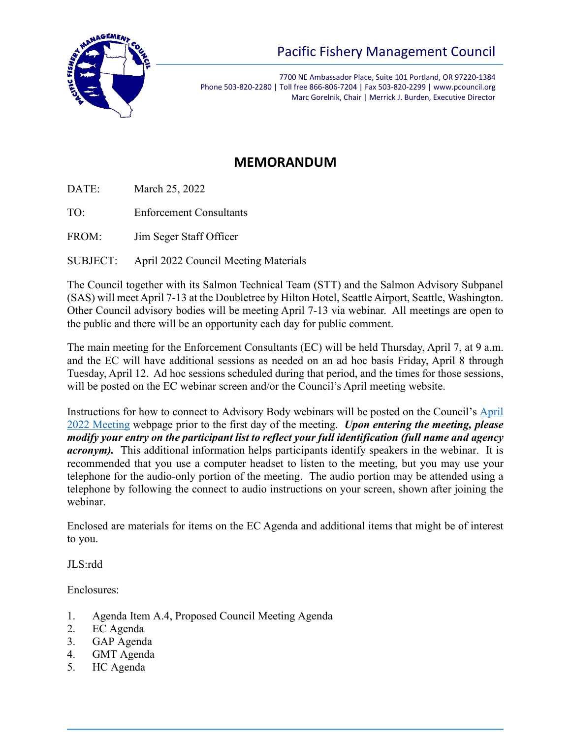

7700 NE Ambassador Place, Suite 101 Portland, OR 97220-1384 Phone 503-820-2280 | Toll free 866-806-7204 | Fax 503-820-2299 | www.pcouncil.org Marc Gorelnik, Chair | Merrick J. Burden, Executive Director

## **MEMORANDUM**

DATE: March 25, 2022

TO: Enforcement Consultants

FROM: Jim Seger Staff Officer

SUBJECT: April 2022 Council Meeting Materials

The Council together with its Salmon Technical Team (STT) and the Salmon Advisory Subpanel (SAS) will meet April 7-13 at the Doubletree by Hilton Hotel, Seattle Airport, Seattle, Washington. Other Council advisory bodies will be meeting April 7-13 via webinar. All meetings are open to the public and there will be an opportunity each day for public comment.

The main meeting for the Enforcement Consultants (EC) will be held Thursday, April 7, at 9 a.m. and the EC will have additional sessions as needed on an ad hoc basis Friday, April 8 through Tuesday, April 12. Ad hoc sessions scheduled during that period, and the times for those sessions, will be posted on the EC webinar screen and/or the Council's April meeting website.

Instructions for how to connect to Advisory Body webinars will be posted on the Council's [April](https://www.pcouncil.org/council_meeting/april-6-13-2022-council-meeting/) 2022 [Meeting](https://www.pcouncil.org/council_meeting/april-6-13-2022-council-meeting/) webpage prior to the first day of the meeting. *Upon entering the meeting, please modify your entry on the participant list to reflect your full identification (full name and agency acronym*). This additional information helps participants identify speakers in the webinar. It is recommended that you use a computer headset to listen to the meeting, but you may use your telephone for the audio-only portion of the meeting. The audio portion may be attended using a telephone by following the connect to audio instructions on your screen, shown after joining the webinar.

Enclosed are materials for items on the EC Agenda and additional items that might be of interest to you.

JLS:rdd

Enclosures:

- 1. Agenda Item A.4, Proposed Council Meeting Agenda
- 2. EC Agenda
- 3. GAP Agenda
- 4. GMT Agenda
- 5. HC Agenda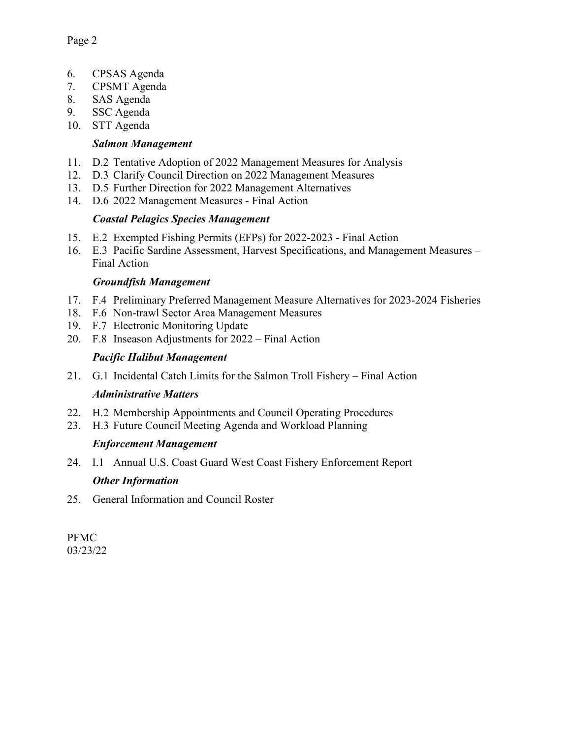- 6. CPSAS Agenda
- 7. CPSMT Agenda
- 8. SAS Agenda
- 9. SSC Agenda
- 10. STT Agenda

### *Salmon Management*

- 11. D.2 Tentative Adoption of 2022 Management Measures for Analysis
- 12. D.3 Clarify Council Direction on 2022 Management Measures
- 13. D.5 Further Direction for 2022 Management Alternatives
- 14. D.6 2022 Management Measures Final Action

#### *Coastal Pelagics Species Management*

- 15. E.2 Exempted Fishing Permits (EFPs) for 2022-2023 Final Action
- 16. E.3 Pacific Sardine Assessment, Harvest Specifications, and Management Measures Final Action

#### *Groundfish Management*

- 17. F.4 Preliminary Preferred Management Measure Alternatives for 2023-2024 Fisheries
- 18. F.6 Non-trawl Sector Area Management Measures
- 19. F.7 Electronic Monitoring Update
- 20. F.8 Inseason Adjustments for 2022 Final Action

### *Pacific Halibut Management*

21. G.1 Incidental Catch Limits for the Salmon Troll Fishery – Final Action

#### *Administrative Matters*

- 22. H.2 Membership Appointments and Council Operating Procedures
- 23. H.3 Future Council Meeting Agenda and Workload Planning

## *Enforcement Management*

24. I.1 Annual U.S. Coast Guard West Coast Fishery Enforcement Report

## *Other Information*

25. General Information and Council Roster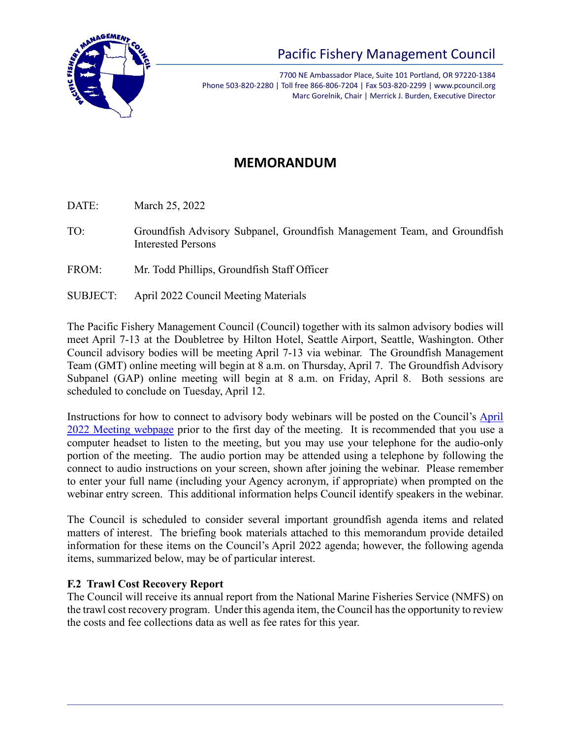

7700 NE Ambassador Place, Suite 101 Portland, OR 97220-1384 Phone 503-820-2280 | Toll free 866-806-7204 | Fax 503-820-2299 | www.pcouncil.org Marc Gorelnik, Chair | Merrick J. Burden, Executive Director

## **MEMORANDUM**

DATE: March 25, 2022

- TO: Groundfish Advisory Subpanel, Groundfish Management Team, and Groundfish Interested Persons
- FROM: Mr. Todd Phillips, Groundfish Staff Officer
- SUBJECT: April 2022 Council Meeting Materials

The Pacific Fishery Management Council (Council) together with its salmon advisory bodies will meet April 7-13 at the Doubletree by Hilton Hotel, Seattle Airport, Seattle, Washington. Other Council advisory bodies will be meeting April 7-13 via webinar. The Groundfish Management Team (GMT) online meeting will begin at 8 a.m. on Thursday, April 7. The Groundfish Advisory Subpanel (GAP) online meeting will begin at 8 a.m. on Friday, April 8. Both sessions are scheduled to conclude on Tuesday, April 12.

Instructions for how to connect to advisory body webinars will be posted on the Council's [April](https://www.pcouncil.org/council_meeting/april-6-13-2022-council-meeting/)  2022 [Meeting webpage](https://www.pcouncil.org/council_meeting/april-6-13-2022-council-meeting/) prior to the first day of the meeting. It is recommended that you use a computer headset to listen to the meeting, but you may use your telephone for the audio-only portion of the meeting. The audio portion may be attended using a telephone by following the connect to audio instructions on your screen, shown after joining the webinar. Please remember to enter your full name (including your Agency acronym, if appropriate) when prompted on the webinar entry screen. This additional information helps Council identify speakers in the webinar.

The Council is scheduled to consider several important groundfish agenda items and related matters of interest. The briefing book materials attached to this memorandum provide detailed information for these items on the Council's April 2022 agenda; however, the following agenda items, summarized below, may be of particular interest.

## **F.2 Trawl Cost Recovery Report**

The Council will receive its annual report from the National Marine Fisheries Service (NMFS) on the trawl cost recovery program. Under this agenda item, the Council has the opportunity to review the costs and fee collections data as well as fee rates for this year.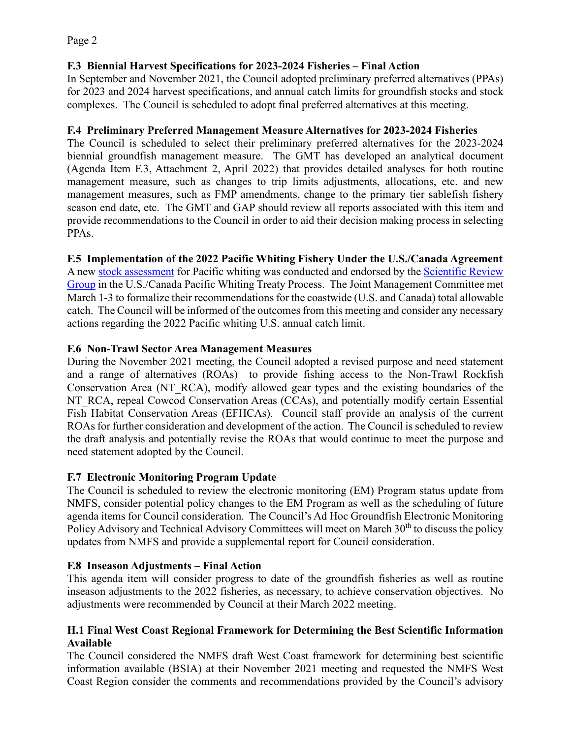## **F.3 Biennial Harvest Specifications for 2023-2024 Fisheries – Final Action**

In September and November 2021, the Council adopted preliminary preferred alternatives (PPAs) for 2023 and 2024 harvest specifications, and annual catch limits for groundfish stocks and stock complexes. The Council is scheduled to adopt final preferred alternatives at this meeting.

## **F.4 Preliminary Preferred Management Measure Alternatives for 2023-2024 Fisheries**

The Council is scheduled to select their preliminary preferred alternatives for the 2023-2024 biennial groundfish management measure. The GMT has developed an analytical document (Agenda Item F.3, Attachment 2, April 2022) that provides detailed analyses for both routine management measure, such as changes to trip limits adjustments, allocations, etc. and new management measures, such as FMP amendments, change to the primary tier sablefish fishery season end date, etc. The GMT and GAP should review all reports associated with this item and provide recommendations to the Council in order to aid their decision making process in selecting PPAs.

**F.5 Implementation of the 2022 Pacific Whiting Fishery Under the U.S./Canada Agreement**

A new [stock assessment](https://www.pcouncil.org/documents/2022/03/status-of-the-pacific-hake-whiting-stock-in-the-u-s-and-canadian-waters-in-2022.pdf/) for Pacific whiting was conducted and endorsed by the Scientific Review [Group](https://www.pcouncil.org/documents/2022/03/joint-canada-usa-scientific-review-group-report-for-2022.pdf/) in the U.S./Canada Pacific Whiting Treaty Process. The Joint Management Committee met March 1-3 to formalize their recommendations for the coastwide (U.S. and Canada) total allowable catch. The Council will be informed of the outcomes from this meeting and consider any necessary actions regarding the 2022 Pacific whiting U.S. annual catch limit.

## **F.6 Non-Trawl Sector Area Management Measures**

During the November 2021 meeting, the Council adopted a revised purpose and need statement and a range of alternatives (ROAs) to provide fishing access to the Non-Trawl Rockfish Conservation Area (NT\_RCA), modify allowed gear types and the existing boundaries of the NT\_RCA, repeal Cowcod Conservation Areas (CCAs), and potentially modify certain Essential Fish Habitat Conservation Areas (EFHCAs). Council staff provide an analysis of the current ROAs for further consideration and development of the action. The Council is scheduled to review the draft analysis and potentially revise the ROAs that would continue to meet the purpose and need statement adopted by the Council.

## **F.7 Electronic Monitoring Program Update**

The Council is scheduled to review the electronic monitoring (EM) Program status update from NMFS, consider potential policy changes to the EM Program as well as the scheduling of future agenda items for Council consideration. The Council's Ad Hoc Groundfish Electronic Monitoring Policy Advisory and Technical Advisory Committees will meet on March 30<sup>th</sup> to discuss the policy updates from NMFS and provide a supplemental report for Council consideration.

## **F.8 Inseason Adjustments – Final Action**

This agenda item will consider progress to date of the groundfish fisheries as well as routine inseason adjustments to the 2022 fisheries, as necessary, to achieve conservation objectives. No adjustments were recommended by Council at their March 2022 meeting.

## **H.1 Final West Coast Regional Framework for Determining the Best Scientific Information Available**

The Council considered the NMFS draft West Coast framework for determining best scientific information available (BSIA) at their November 2021 meeting and requested the NMFS West Coast Region consider the comments and recommendations provided by the Council's advisory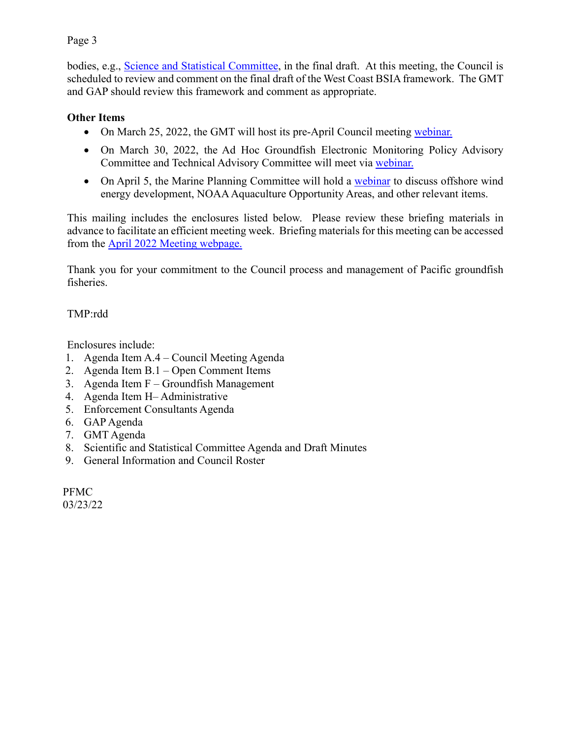## Page 3

bodies, e.g., [Science and Statistical Committee,](https://www.pcouncil.org/documents/2021/11/c-4-a-supplemental-ssc-report-1.pdf/) in the final draft. At this meeting, the Council is scheduled to review and comment on the final draft of the West Coast BSIA framework. The GMT and GAP should review this framework and comment as appropriate.

## **Other Items**

- On March 25, 2022, the GMT will host its pre-April Council meeting [webinar.](https://www.pcouncil.org/events/groundfish-management-team-to-hold-online-meeting-march-25-2022/)
- On March 30, 2022, the Ad Hoc Groundfish Electronic Monitoring Policy Advisory Committee and Technical Advisory Committee will meet via [webinar.](https://www.pcouncil.org/events/ad-hoc-groundfish-electronic-monitoring-policy-advisory-committee-and-technical-advisory-committee-to-meet-march-30-2022/)
- On April 5, the Marine Planning Committee will hold a [webinar](https://www.pcouncil.org/events/ad-hoc-marine-planning-committee-to-hold-online-work-session-tuesday-april-5-2022/) to discuss offshore wind energy development, NOAA Aquaculture Opportunity Areas, and other relevant items.

This mailing includes the enclosures listed below. Please review these briefing materials in advance to facilitate an efficient meeting week. Briefing materials for this meeting can be accessed from the April 2022 [Meeting webpage.](https://www.pcouncil.org/council_meeting/april-6-13-2022-council-meeting/)

Thank you for your commitment to the Council process and management of Pacific groundfish fisheries.

TMP:rdd

Enclosures include:

- 1. Agenda Item A.4 Council Meeting Agenda
- 2. Agenda Item B.1 Open Comment Items
- 3. Agenda Item F Groundfish Management
- 4. Agenda Item H– Administrative
- 5. Enforcement Consultants Agenda
- 6. GAP Agenda
- 7. GMT Agenda
- 8. Scientific and Statistical Committee Agenda and Draft Minutes
- 9. General Information and Council Roster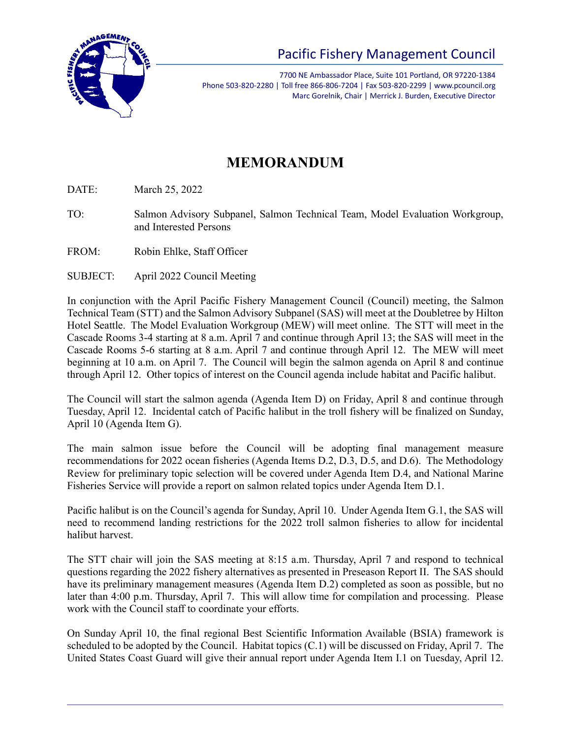

7700 NE Ambassador Place, Suite 101 Portland, OR 97220-1384 Phone 503-820-2280 | Toll free 866-806-7204 | Fax 503-820-2299 | www.pcouncil.org Marc Gorelnik, Chair | Merrick J. Burden, Executive Director

# **MEMORANDUM**

DATE: March 25, 2022

- TO: Salmon Advisory Subpanel, Salmon Technical Team, Model Evaluation Workgroup, and Interested Persons
- FROM: Robin Ehlke, Staff Officer
- SUBJECT: April 2022 Council Meeting

In conjunction with the April Pacific Fishery Management Council (Council) meeting, the Salmon Technical Team (STT) and the Salmon Advisory Subpanel (SAS) will meet at the Doubletree by Hilton Hotel Seattle. The Model Evaluation Workgroup (MEW) will meet online. The STT will meet in the Cascade Rooms 3-4 starting at 8 a.m. April 7 and continue through April 13; the SAS will meet in the Cascade Rooms 5-6 starting at 8 a.m. April 7 and continue through April 12. The MEW will meet beginning at 10 a.m. on April 7. The Council will begin the salmon agenda on April 8 and continue through April 12. Other topics of interest on the Council agenda include habitat and Pacific halibut.

The Council will start the salmon agenda (Agenda Item D) on Friday, April 8 and continue through Tuesday, April 12. Incidental catch of Pacific halibut in the troll fishery will be finalized on Sunday, April 10 (Agenda Item G).

The main salmon issue before the Council will be adopting final management measure recommendations for 2022 ocean fisheries (Agenda Items D.2, D.3, D.5, and D.6). The Methodology Review for preliminary topic selection will be covered under Agenda Item D.4, and National Marine Fisheries Service will provide a report on salmon related topics under Agenda Item D.1.

Pacific halibut is on the Council's agenda for Sunday, April 10. Under Agenda Item G.1, the SAS will need to recommend landing restrictions for the 2022 troll salmon fisheries to allow for incidental halibut harvest.

The STT chair will join the SAS meeting at 8:15 a.m. Thursday, April 7 and respond to technical questions regarding the 2022 fishery alternatives as presented in Preseason Report II. The SAS should have its preliminary management measures (Agenda Item D.2) completed as soon as possible, but no later than 4:00 p.m. Thursday, April 7. This will allow time for compilation and processing. Please work with the Council staff to coordinate your efforts.

On Sunday April 10, the final regional Best Scientific Information Available (BSIA) framework is scheduled to be adopted by the Council. Habitat topics (C.1) will be discussed on Friday, April 7. The United States Coast Guard will give their annual report under Agenda Item I.1 on Tuesday, April 12.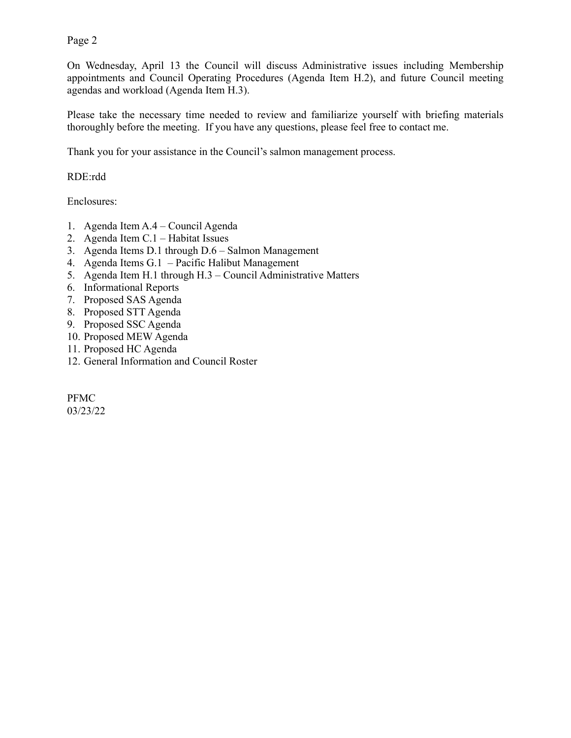Page 2

On Wednesday, April 13 the Council will discuss Administrative issues including Membership appointments and Council Operating Procedures (Agenda Item H.2), and future Council meeting agendas and workload (Agenda Item H.3).

Please take the necessary time needed to review and familiarize yourself with briefing materials thoroughly before the meeting. If you have any questions, please feel free to contact me.

Thank you for your assistance in the Council's salmon management process.

RDE:rdd

Enclosures:

- 1. Agenda Item A.4 Council Agenda
- 2. Agenda Item C.1 Habitat Issues
- 3. Agenda Items D.1 through D.6 Salmon Management
- 4. Agenda Items G.1 Pacific Halibut Management
- 5. Agenda Item H.1 through H.3 Council Administrative Matters
- 6. Informational Reports
- 7. Proposed SAS Agenda
- 8. Proposed STT Agenda
- 9. Proposed SSC Agenda
- 10. Proposed MEW Agenda
- 11. Proposed HC Agenda
- 12. General Information and Council Roster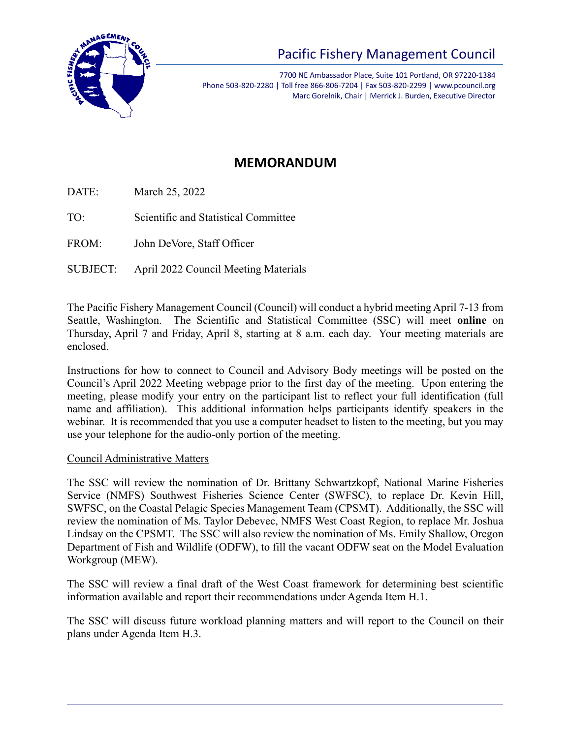

7700 NE Ambassador Place, Suite 101 Portland, OR 97220-1384 Phone 503-820-2280 | Toll free 866-806-7204 | Fax 503-820-2299 | www.pcouncil.org Marc Gorelnik, Chair | Merrick J. Burden, Executive Director

## **MEMORANDUM**

DATE: March 25, 2022

TO: Scientific and Statistical Committee

FROM: John DeVore, Staff Officer

SUBJECT: April 2022 Council Meeting Materials

The Pacific Fishery Management Council (Council) will conduct a hybrid meeting April 7-13 from Seattle, Washington. The Scientific and Statistical Committee (SSC) will meet **online** on Thursday, April 7 and Friday, April 8, starting at 8 a.m. each day. Your meeting materials are enclosed.

Instructions for how to connect to Council and Advisory Body meetings will be posted on the Council's April 2022 Meeting webpage prior to the first day of the meeting. Upon entering the meeting, please modify your entry on the participant list to reflect your full identification (full name and affiliation). This additional information helps participants identify speakers in the webinar. It is recommended that you use a computer headset to listen to the meeting, but you may use your telephone for the audio-only portion of the meeting.

## Council Administrative Matters

The SSC will review the nomination of Dr. Brittany Schwartzkopf, National Marine Fisheries Service (NMFS) Southwest Fisheries Science Center (SWFSC), to replace Dr. Kevin Hill, SWFSC, on the Coastal Pelagic Species Management Team (CPSMT). Additionally, the SSC will review the nomination of Ms. Taylor Debevec, NMFS West Coast Region, to replace Mr. Joshua Lindsay on the CPSMT. The SSC will also review the nomination of Ms. Emily Shallow, Oregon Department of Fish and Wildlife (ODFW), to fill the vacant ODFW seat on the Model Evaluation Workgroup (MEW).

The SSC will review a final draft of the West Coast framework for determining best scientific information available and report their recommendations under Agenda Item H.1.

The SSC will discuss future workload planning matters and will report to the Council on their plans under Agenda Item H.3.